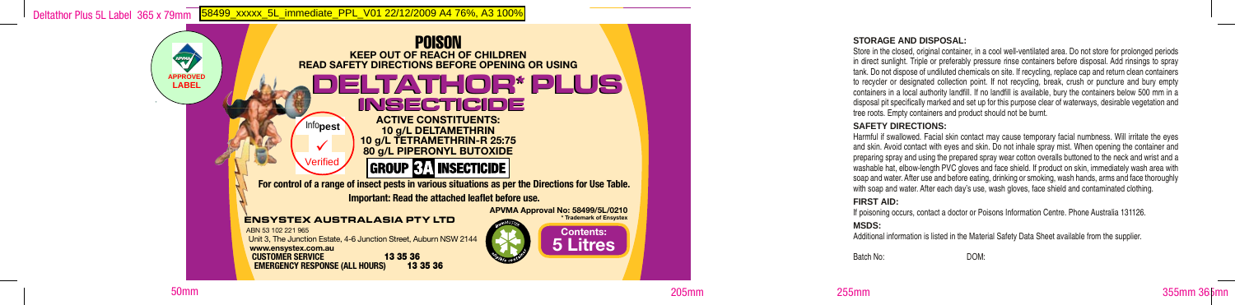

### **STORAGE AND DISPOSAL:**

Store in the closed, original container, in a cool well-ventilated area. Do not store for prolonged periods in direct sunlight. Triple or preferably pressure rinse containers before disposal. Add rinsings to spray tank. Do not dispose of undiluted chemicals on site. If recycling, replace cap and return clean containers to recycler or designated collection point. If not recycling, break, crush or puncture and bury empty containers in a local authority landfill. If no landfill is available, bury the containers below 500 mm in a disposal pit specifically marked and set up for this purpose clear of waterways, desirable vegetation and tree roots. Empty containers and product should not be burnt.

### **SAFETY DIRECTIONS:**

Harmful if swallowed. Facial skin contact may cause temporary facial numbness. Will irritate the eyes and skin. Avoid contact with eyes and skin. Do not inhale spray mist. When opening the container and preparing spray and using the prepared spray wear cotton overalls buttoned to the neck and wrist and a washable hat, elbow-length PVC gloves and face shield. If product on skin, immediately wash area with soap and water. After use and before eating, drinking or smoking, wash hands, arms and face thoroughly with soap and water. After each day's use, wash gloves, face shield and contaminated clothing.

### **FIRST AID:**

If poisoning occurs, contact a doctor or Poisons Information Centre. Phone Australia 131126.

### **MSDS:**

Additional information is listed in the Material Safety Data Sheet available from the supplier.

Batch No: DOM:



50mm 205mm 255mm 355mm 365mm